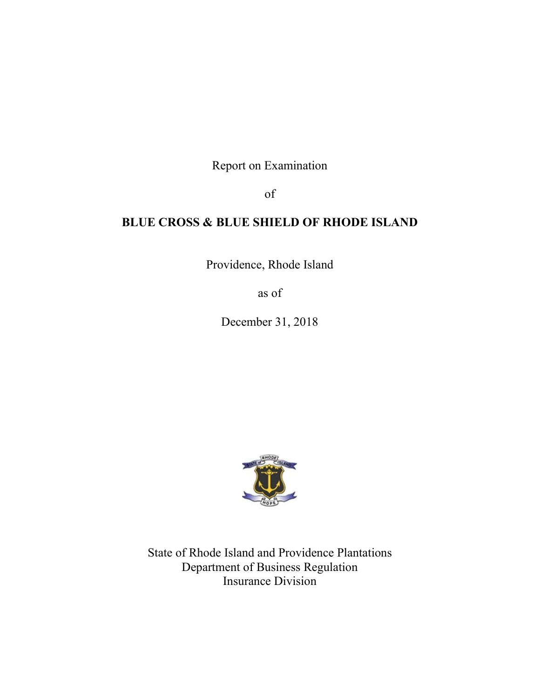Report on Examination

of

# **BLUE CROSS & BLUE SHIELD OF RHODE ISLAND**

Providence, Rhode Island

as of

December 31, 2018



State of Rhode Island and Providence Plantations Department of Business Regulation Insurance Division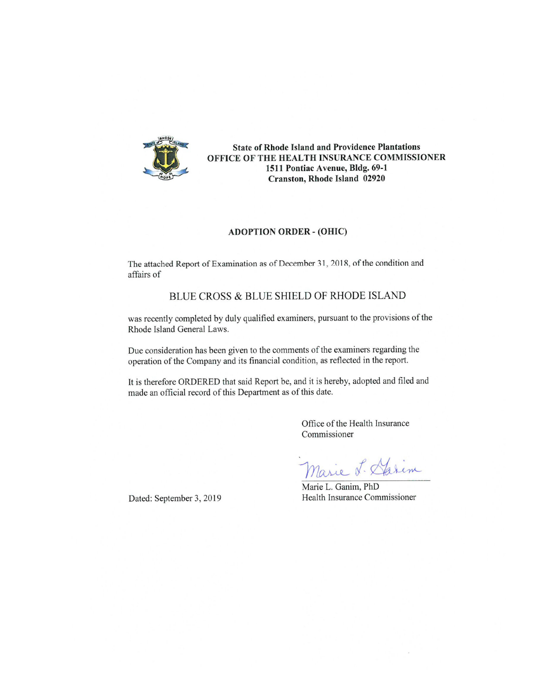

**State of Rhode Island and Providence Plantations** OFFICE OF THE HEALTH INSURANCE COMMISSIONER 1511 Pontiac Avenue, Bldg. 69-1 Cranston, Rhode Island 02920

#### **ADOPTION ORDER - (OHIC)**

The attached Report of Examination as of December 31, 2018, of the condition and affairs of

# BLUE CROSS & BLUE SHIELD OF RHODE ISLAND

was recently completed by duly qualified examiners, pursuant to the provisions of the Rhode Island General Laws.

Due consideration has been given to the comments of the examiners regarding the operation of the Company and its financial condition, as reflected in the report.

It is therefore ORDERED that said Report be, and it is hereby, adopted and filed and made an official record of this Department as of this date.

> Office of the Health Insurance Commissioner

alem asie

Marie L. Ganim, PhD Health Insurance Commissioner

Dated: September 3, 2019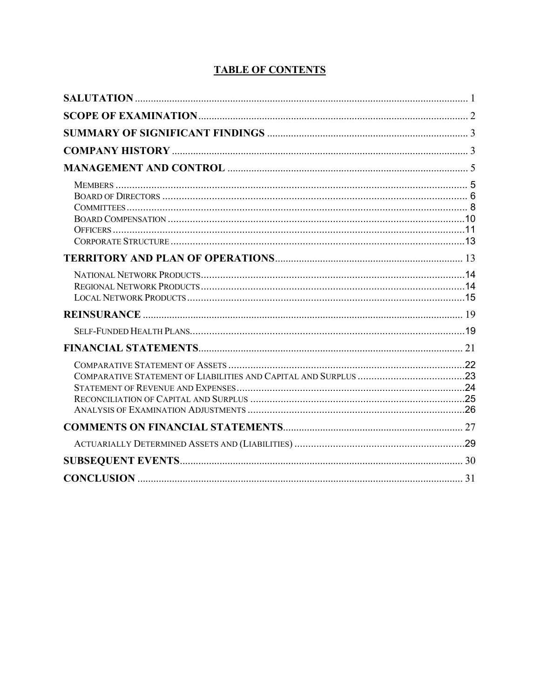| <b>CONCLUSION</b> |  |
|-------------------|--|

# **TABLE OF CONTENTS**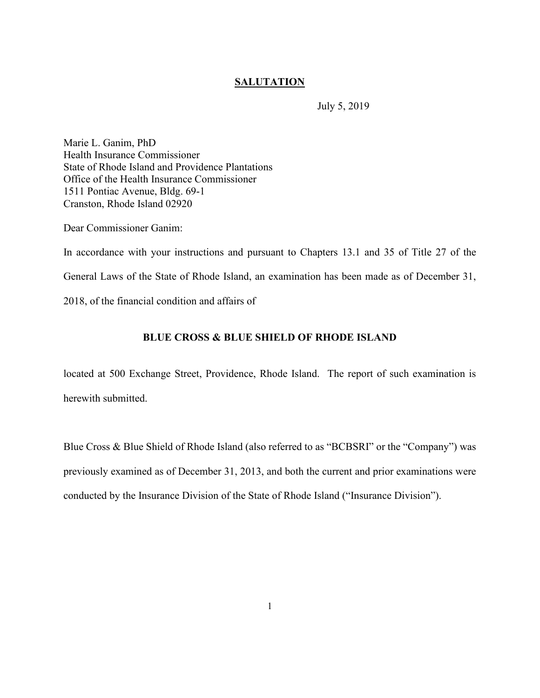# **SALUTATION**

July 5, 2019

Marie L. Ganim, PhD Health Insurance Commissioner State of Rhode Island and Providence Plantations Office of the Health Insurance Commissioner 1511 Pontiac Avenue, Bldg. 69-1 Cranston, Rhode Island 02920

Dear Commissioner Ganim:

In accordance with your instructions and pursuant to Chapters 13.1 and 35 of Title 27 of the General Laws of the State of Rhode Island, an examination has been made as of December 31, 2018, of the financial condition and affairs of

# **BLUE CROSS & BLUE SHIELD OF RHODE ISLAND**

located at 500 Exchange Street, Providence, Rhode Island. The report of such examination is herewith submitted.

Blue Cross & Blue Shield of Rhode Island (also referred to as "BCBSRI" or the "Company") was previously examined as of December 31, 2013, and both the current and prior examinations were conducted by the Insurance Division of the State of Rhode Island ("Insurance Division").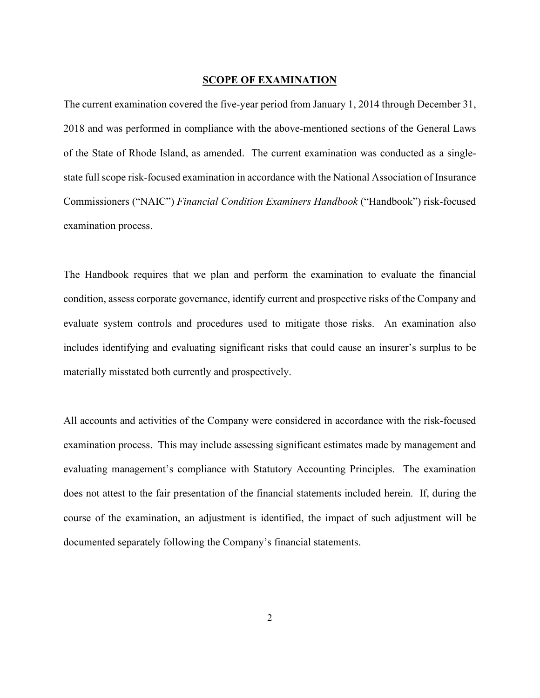# **SCOPE OF EXAMINATION**

The current examination covered the five-year period from January 1, 2014 through December 31, 2018 and was performed in compliance with the above-mentioned sections of the General Laws of the State of Rhode Island, as amended. The current examination was conducted as a singlestate full scope risk-focused examination in accordance with the National Association of Insurance Commissioners ("NAIC") *Financial Condition Examiners Handbook* ("Handbook") risk-focused examination process.

The Handbook requires that we plan and perform the examination to evaluate the financial condition, assess corporate governance, identify current and prospective risks of the Company and evaluate system controls and procedures used to mitigate those risks. An examination also includes identifying and evaluating significant risks that could cause an insurer's surplus to be materially misstated both currently and prospectively.

All accounts and activities of the Company were considered in accordance with the risk-focused examination process. This may include assessing significant estimates made by management and evaluating management's compliance with Statutory Accounting Principles. The examination does not attest to the fair presentation of the financial statements included herein. If, during the course of the examination, an adjustment is identified, the impact of such adjustment will be documented separately following the Company's financial statements.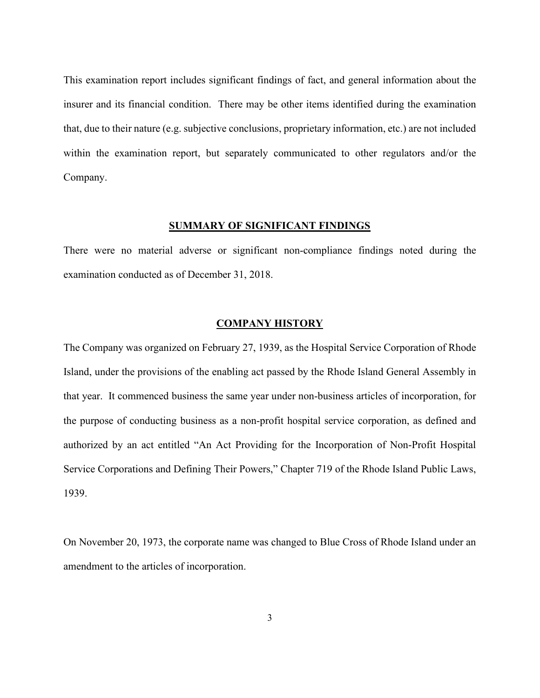This examination report includes significant findings of fact, and general information about the insurer and its financial condition. There may be other items identified during the examination that, due to their nature (e.g. subjective conclusions, proprietary information, etc.) are not included within the examination report, but separately communicated to other regulators and/or the Company.

# **SUMMARY OF SIGNIFICANT FINDINGS**

There were no material adverse or significant non-compliance findings noted during the examination conducted as of December 31, 2018.

# **COMPANY HISTORY**

The Company was organized on February 27, 1939, as the Hospital Service Corporation of Rhode Island, under the provisions of the enabling act passed by the Rhode Island General Assembly in that year. It commenced business the same year under non-business articles of incorporation, for the purpose of conducting business as a non-profit hospital service corporation, as defined and authorized by an act entitled "An Act Providing for the Incorporation of Non-Profit Hospital Service Corporations and Defining Their Powers," Chapter 719 of the Rhode Island Public Laws, 1939.

On November 20, 1973, the corporate name was changed to Blue Cross of Rhode Island under an amendment to the articles of incorporation.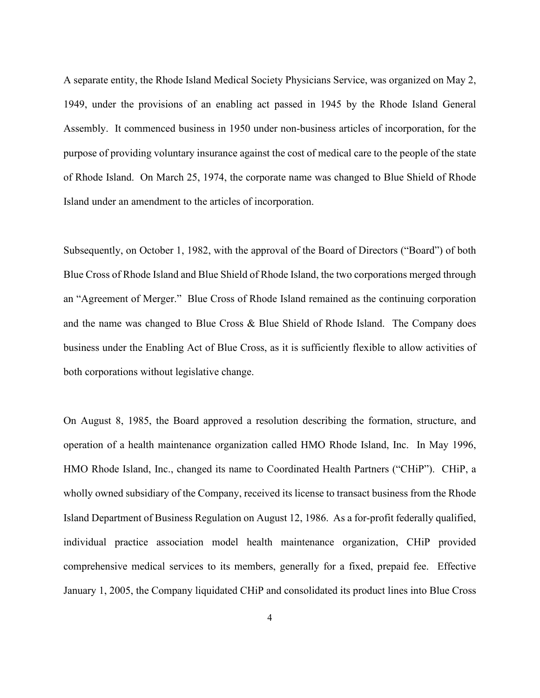A separate entity, the Rhode Island Medical Society Physicians Service, was organized on May 2, 1949, under the provisions of an enabling act passed in 1945 by the Rhode Island General Assembly. It commenced business in 1950 under non-business articles of incorporation, for the purpose of providing voluntary insurance against the cost of medical care to the people of the state of Rhode Island. On March 25, 1974, the corporate name was changed to Blue Shield of Rhode Island under an amendment to the articles of incorporation.

Subsequently, on October 1, 1982, with the approval of the Board of Directors ("Board") of both Blue Cross of Rhode Island and Blue Shield of Rhode Island, the two corporations merged through an "Agreement of Merger." Blue Cross of Rhode Island remained as the continuing corporation and the name was changed to Blue Cross & Blue Shield of Rhode Island. The Company does business under the Enabling Act of Blue Cross, as it is sufficiently flexible to allow activities of both corporations without legislative change.

On August 8, 1985, the Board approved a resolution describing the formation, structure, and operation of a health maintenance organization called HMO Rhode Island, Inc. In May 1996, HMO Rhode Island, Inc., changed its name to Coordinated Health Partners ("CHiP"). CHiP, a wholly owned subsidiary of the Company, received its license to transact business from the Rhode Island Department of Business Regulation on August 12, 1986. As a for-profit federally qualified, individual practice association model health maintenance organization, CHiP provided comprehensive medical services to its members, generally for a fixed, prepaid fee. Effective January 1, 2005, the Company liquidated CHiP and consolidated its product lines into Blue Cross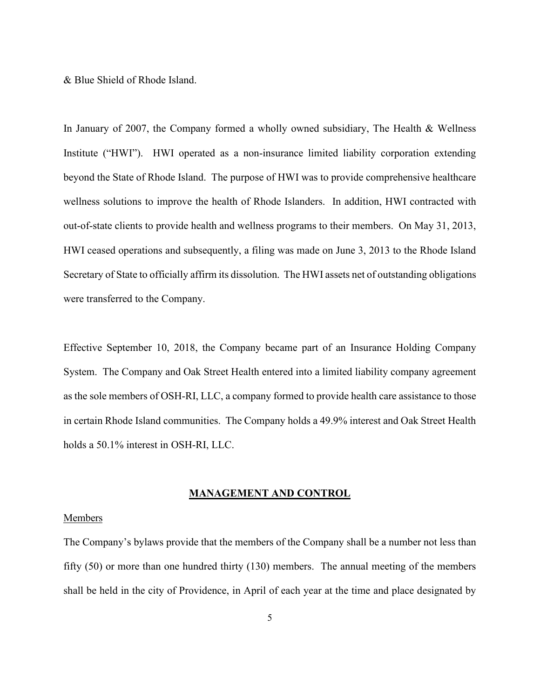& Blue Shield of Rhode Island.

In January of 2007, the Company formed a wholly owned subsidiary, The Health & Wellness Institute ("HWI"). HWI operated as a non-insurance limited liability corporation extending beyond the State of Rhode Island. The purpose of HWI was to provide comprehensive healthcare wellness solutions to improve the health of Rhode Islanders. In addition, HWI contracted with out-of-state clients to provide health and wellness programs to their members. On May 31, 2013, HWI ceased operations and subsequently, a filing was made on June 3, 2013 to the Rhode Island Secretary of State to officially affirm its dissolution. The HWI assets net of outstanding obligations were transferred to the Company.

Effective September 10, 2018, the Company became part of an Insurance Holding Company System. The Company and Oak Street Health entered into a limited liability company agreement as the sole members of OSH-RI, LLC, a company formed to provide health care assistance to those in certain Rhode Island communities. The Company holds a 49.9% interest and Oak Street Health holds a 50.1% interest in OSH-RI, LLC.

# **MANAGEMENT AND CONTROL**

# Members

The Company's bylaws provide that the members of the Company shall be a number not less than fifty (50) or more than one hundred thirty (130) members. The annual meeting of the members shall be held in the city of Providence, in April of each year at the time and place designated by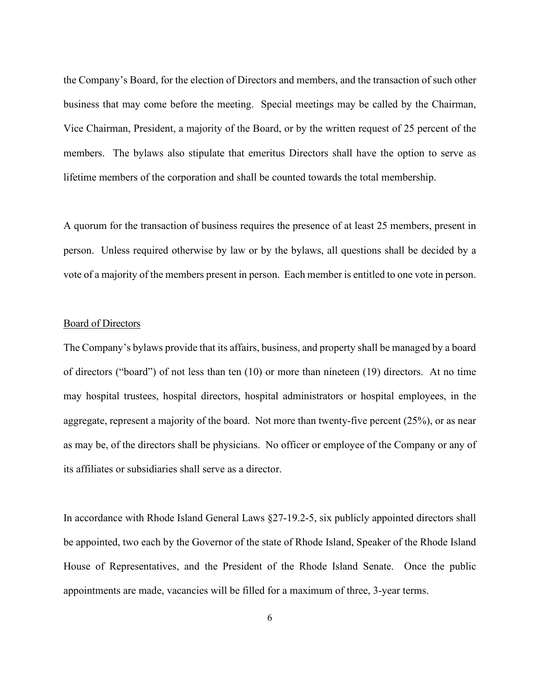the Company's Board, for the election of Directors and members, and the transaction of such other business that may come before the meeting. Special meetings may be called by the Chairman, Vice Chairman, President, a majority of the Board, or by the written request of 25 percent of the members. The bylaws also stipulate that emeritus Directors shall have the option to serve as lifetime members of the corporation and shall be counted towards the total membership.

A quorum for the transaction of business requires the presence of at least 25 members, present in person. Unless required otherwise by law or by the bylaws, all questions shall be decided by a vote of a majority of the members present in person. Each member is entitled to one vote in person.

# Board of Directors

The Company's bylaws provide that its affairs, business, and property shall be managed by a board of directors ("board") of not less than ten (10) or more than nineteen (19) directors. At no time may hospital trustees, hospital directors, hospital administrators or hospital employees, in the aggregate, represent a majority of the board. Not more than twenty-five percent (25%), or as near as may be, of the directors shall be physicians. No officer or employee of the Company or any of its affiliates or subsidiaries shall serve as a director.

In accordance with Rhode Island General Laws §27-19.2-5, six publicly appointed directors shall be appointed, two each by the Governor of the state of Rhode Island, Speaker of the Rhode Island House of Representatives, and the President of the Rhode Island Senate. Once the public appointments are made, vacancies will be filled for a maximum of three, 3-year terms.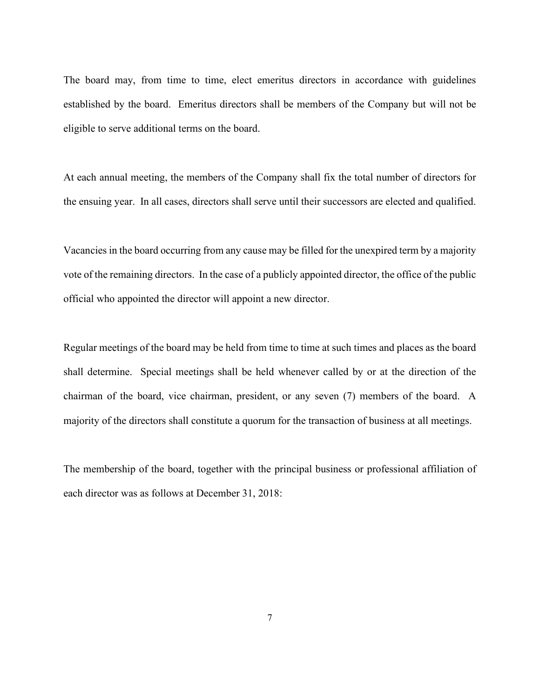The board may, from time to time, elect emeritus directors in accordance with guidelines established by the board. Emeritus directors shall be members of the Company but will not be eligible to serve additional terms on the board.

At each annual meeting, the members of the Company shall fix the total number of directors for the ensuing year. In all cases, directors shall serve until their successors are elected and qualified.

Vacancies in the board occurring from any cause may be filled for the unexpired term by a majority vote of the remaining directors. In the case of a publicly appointed director, the office of the public official who appointed the director will appoint a new director.

Regular meetings of the board may be held from time to time at such times and places as the board shall determine. Special meetings shall be held whenever called by or at the direction of the chairman of the board, vice chairman, president, or any seven (7) members of the board. A majority of the directors shall constitute a quorum for the transaction of business at all meetings.

The membership of the board, together with the principal business or professional affiliation of each director was as follows at December 31, 2018: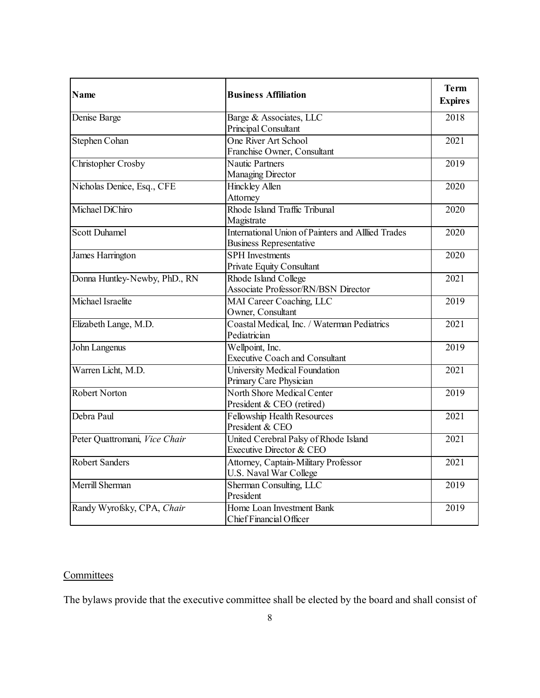| <b>Name</b>                   | <b>Business Affiliation</b>                                                                 | <b>Term</b><br><b>Expires</b> |
|-------------------------------|---------------------------------------------------------------------------------------------|-------------------------------|
| Denise Barge                  | Barge & Associates, LLC<br>Principal Consultant                                             | 2018                          |
| Stephen Cohan                 | One River Art School<br>Franchise Owner, Consultant                                         | 2021                          |
| Christopher Crosby            | <b>Nautic Partners</b><br><b>Managing Director</b>                                          | 2019                          |
| Nicholas Denice, Esq., CFE    | <b>Hinckley Allen</b><br>Attorney                                                           | 2020                          |
| Michael DiChiro               | Rhode Island Traffic Tribunal<br>Magistrate                                                 | 2020                          |
| <b>Scott Duhamel</b>          | <b>International Union of Painters and Alllied Trades</b><br><b>Business Representative</b> | 2020                          |
| <b>James Harrington</b>       | <b>SPH</b> Investments<br>Private Equity Consultant                                         | $\overline{2020}$             |
| Donna Huntley-Newby, PhD., RN | Rhode Island College<br><b>Associate Professor/RN/BSN Director</b>                          | 2021                          |
| Michael Israelite             | <b>MAI</b> Career Coaching, LLC<br>Owner, Consultant                                        | 2019                          |
| Elizabeth Lange, M.D.         | Coastal Medical, Inc. / Waterman Pediatrics<br>Pediatrician                                 | 2021                          |
| John Langenus                 | Wellpoint, Inc.<br><b>Executive Coach and Consultant</b>                                    | 2019                          |
| Warren Licht, M.D.            | <b>University Medical Foundation</b><br>Primary Care Physician                              | 2021                          |
| <b>Robert Norton</b>          | North Shore Medical Center<br>President & CEO (retired)                                     | 2019                          |
| Debra Paul                    | <b>Fellowship Health Resources</b><br>President & CEO                                       | 2021                          |
| Peter Quattromani, Vice Chair | United Cerebral Palsy of Rhode Island<br>Executive Director & CEO                           | 2021                          |
| <b>Robert Sanders</b>         | Attorney, Captain-Military Professor<br>U.S. Naval War College                              | 2021                          |
| Merrill Sherman               | Sherman Consulting, LLC<br>President                                                        | 2019                          |
| Randy Wyrofsky, CPA, Chair    | Home Loan Investment Bank<br>Chief Financial Officer                                        | 2019                          |

# **Committees**

The bylaws provide that the executive committee shall be elected by the board and shall consist of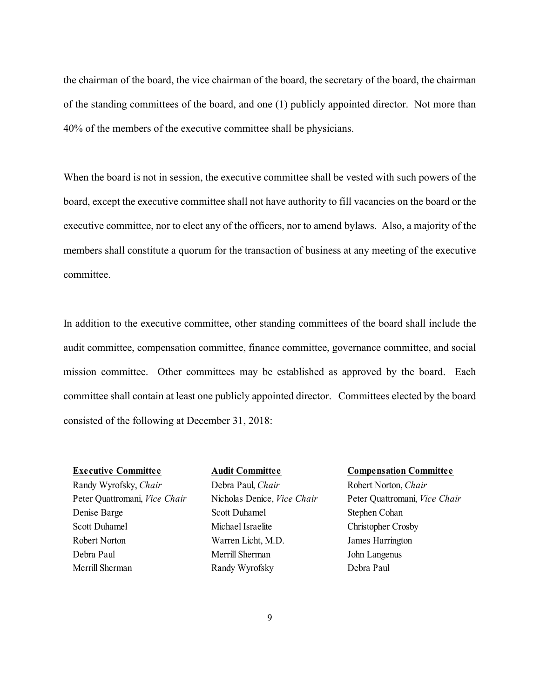the chairman of the board, the vice chairman of the board, the secretary of the board, the chairman of the standing committees of the board, and one (1) publicly appointed director. Not more than 40% of the members of the executive committee shall be physicians.

When the board is not in session, the executive committee shall be vested with such powers of the board, except the executive committee shall not have authority to fill vacancies on the board or the executive committee, nor to elect any of the officers, nor to amend bylaws. Also, a majority of the members shall constitute a quorum for the transaction of business at any meeting of the executive committee.

In addition to the executive committee, other standing committees of the board shall include the audit committee, compensation committee, finance committee, governance committee, and social mission committee. Other committees may be established as approved by the board. Each committee shall contain at least one publicly appointed director. Committees elected by the board consisted of the following at December 31, 2018:

Randy Wyrofsky, *Chair* Debra Paul, *Chair* Robert Norton, *Chair* Peter Quattromani, *Vice Chair* Nicholas Denice, *Vice Chair* Peter Quattromani, *Vice Chair* Denise Barge Scott Duhamel Stephen Cohan Scott Duhamel Michael Israelite Christopher Crosby Robert Norton Warren Licht, M.D. James Harrington Debra Paul Merrill Sherman John Langenus

Merrill Sherman Randy Wyrofsky Debra Paul

#### **Executive Committee Audit Committee Compensation Committee**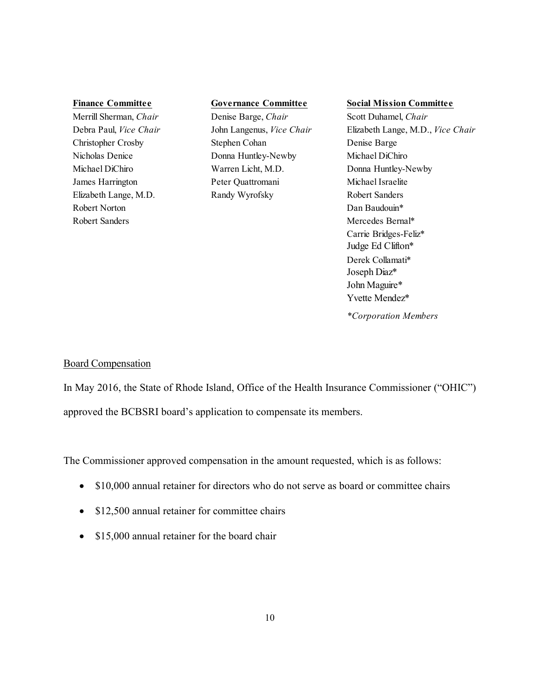Robert Norton **Dan Baudouin\*** Dan Baudouin\* Robert Sanders Mercedes Bernal\*

# Merrill Sherman, *Chair* Denise Barge, *Chair* Scott Duhamel, *Chair*

Christopher Crosby Stephen Cohan Denise Barge Nicholas Denice Donna Huntley-Newby Michael DiChiro Michael DiChiro Warren Licht, M.D. Donna Huntley-Newby James Harrington Peter Quattromani Michael Israelite Elizabeth Lange, M.D. Randy Wyrofsky Robert Sanders

#### **Finance Committee Governance Committee Social Mission Committee**

Debra Paul, *Vice Chair* John Langenus, *Vice Chair* Elizabeth Lange, M.D., *Vice Chair* Carrie Bridges-Feliz\* Judge Ed Clifton\* Derek Collamati\* Joseph Diaz\* John Maguire\* Yvette Mendez\* *\*Corporation Members*

# Board Compensation

In May 2016, the State of Rhode Island, Office of the Health Insurance Commissioner ("OHIC") approved the BCBSRI board's application to compensate its members.

The Commissioner approved compensation in the amount requested, which is as follows:

- \$10,000 annual retainer for directors who do not serve as board or committee chairs
- \$12,500 annual retainer for committee chairs
- \$15,000 annual retainer for the board chair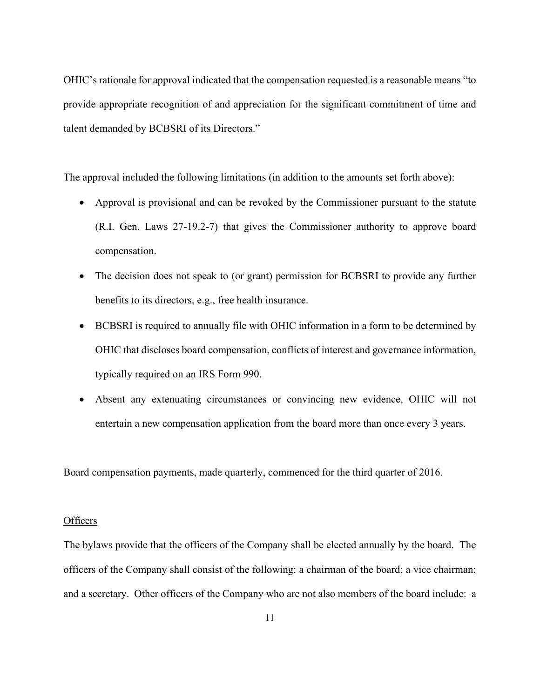OHIC's rationale for approval indicated that the compensation requested is a reasonable means "to provide appropriate recognition of and appreciation for the significant commitment of time and talent demanded by BCBSRI of its Directors."

The approval included the following limitations (in addition to the amounts set forth above):

- Approval is provisional and can be revoked by the Commissioner pursuant to the statute (R.I. Gen. Laws 27-19.2-7) that gives the Commissioner authority to approve board compensation.
- The decision does not speak to (or grant) permission for BCBSRI to provide any further benefits to its directors, e.g., free health insurance.
- BCBSRI is required to annually file with OHIC information in a form to be determined by OHIC that discloses board compensation, conflicts of interest and governance information, typically required on an IRS Form 990.
- Absent any extenuating circumstances or convincing new evidence, OHIC will not entertain a new compensation application from the board more than once every 3 years.

Board compensation payments, made quarterly, commenced for the third quarter of 2016.

# **Officers**

The bylaws provide that the officers of the Company shall be elected annually by the board. The officers of the Company shall consist of the following: a chairman of the board; a vice chairman; and a secretary. Other officers of the Company who are not also members of the board include: a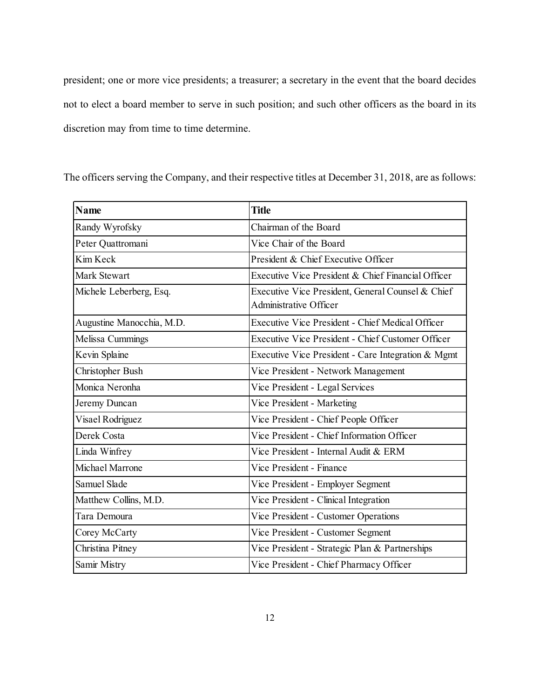president; one or more vice presidents; a treasurer; a secretary in the event that the board decides not to elect a board member to serve in such position; and such other officers as the board in its discretion may from time to time determine.

The officers serving the Company, and their respective titles at December 31, 2018, are as follows:

| <b>Name</b>               | <b>Title</b>                                                                       |
|---------------------------|------------------------------------------------------------------------------------|
| Randy Wyrofsky            | Chairman of the Board                                                              |
| Peter Quattromani         | Vice Chair of the Board                                                            |
| Kim Keck                  | President & Chief Executive Officer                                                |
| Mark Stewart              | Executive Vice President & Chief Financial Officer                                 |
| Michele Leberberg, Esq.   | Executive Vice President, General Counsel & Chief<br><b>Administrative Officer</b> |
| Augustine Manocchia, M.D. | <b>Executive Vice President - Chief Medical Officer</b>                            |
| Melissa Cummings          | <b>Executive Vice President - Chief Customer Officer</b>                           |
| Kevin Splaine             | Executive Vice President - Care Integration & Mgmt                                 |
| Christopher Bush          | Vice President - Network Management                                                |
| Monica Neronha            | Vice President - Legal Services                                                    |
| Jeremy Duncan             | Vice President - Marketing                                                         |
| Visael Rodriguez          | Vice President - Chief People Officer                                              |
| Derek Costa               | Vice President - Chief Information Officer                                         |
| Linda Winfrey             | Vice President - Internal Audit & ERM                                              |
| Michael Marrone           | Vice President - Finance                                                           |
| Samuel Slade              | Vice President - Employer Segment                                                  |
| Matthew Collins, M.D.     | Vice President - Clinical Integration                                              |
| Tara Demoura              | Vice President - Customer Operations                                               |
| Corey McCarty             | Vice President - Customer Segment                                                  |
| Christina Pitney          | Vice President - Strategic Plan & Partnerships                                     |
| Samir Mistry              | Vice President - Chief Pharmacy Officer                                            |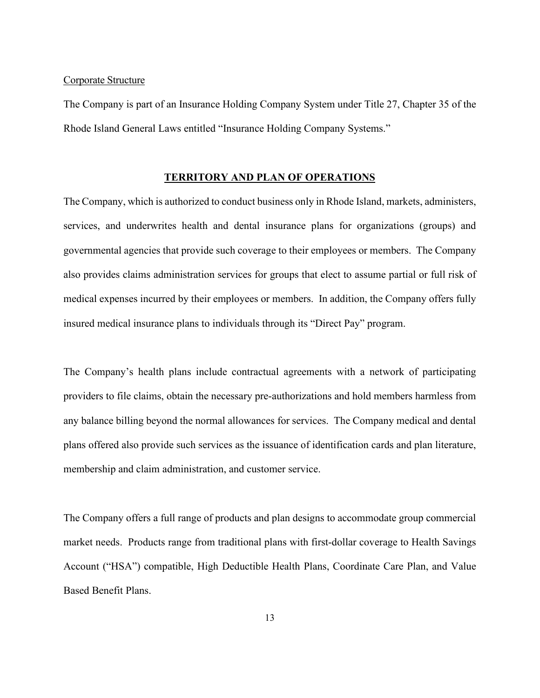### Corporate Structure

The Company is part of an Insurance Holding Company System under Title 27, Chapter 35 of the Rhode Island General Laws entitled "Insurance Holding Company Systems."

### **TERRITORY AND PLAN OF OPERATIONS**

The Company, which is authorized to conduct business only in Rhode Island, markets, administers, services, and underwrites health and dental insurance plans for organizations (groups) and governmental agencies that provide such coverage to their employees or members. The Company also provides claims administration services for groups that elect to assume partial or full risk of medical expenses incurred by their employees or members. In addition, the Company offers fully insured medical insurance plans to individuals through its "Direct Pay" program.

The Company's health plans include contractual agreements with a network of participating providers to file claims, obtain the necessary pre-authorizations and hold members harmless from any balance billing beyond the normal allowances for services. The Company medical and dental plans offered also provide such services as the issuance of identification cards and plan literature, membership and claim administration, and customer service.

The Company offers a full range of products and plan designs to accommodate group commercial market needs. Products range from traditional plans with first-dollar coverage to Health Savings Account ("HSA") compatible, High Deductible Health Plans, Coordinate Care Plan, and Value Based Benefit Plans.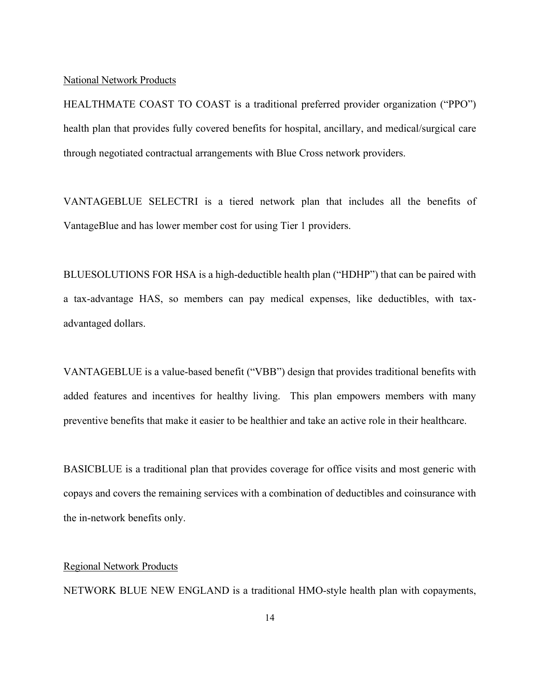#### National Network Products

HEALTHMATE COAST TO COAST is a traditional preferred provider organization ("PPO") health plan that provides fully covered benefits for hospital, ancillary, and medical/surgical care through negotiated contractual arrangements with Blue Cross network providers.

VANTAGEBLUE SELECTRI is a tiered network plan that includes all the benefits of VantageBlue and has lower member cost for using Tier 1 providers.

BLUESOLUTIONS FOR HSA is a high-deductible health plan ("HDHP") that can be paired with a tax-advantage HAS, so members can pay medical expenses, like deductibles, with taxadvantaged dollars.

VANTAGEBLUE is a value-based benefit ("VBB") design that provides traditional benefits with added features and incentives for healthy living. This plan empowers members with many preventive benefits that make it easier to be healthier and take an active role in their healthcare.

BASICBLUE is a traditional plan that provides coverage for office visits and most generic with copays and covers the remaining services with a combination of deductibles and coinsurance with the in-network benefits only.

# Regional Network Products

NETWORK BLUE NEW ENGLAND is a traditional HMO-style health plan with copayments,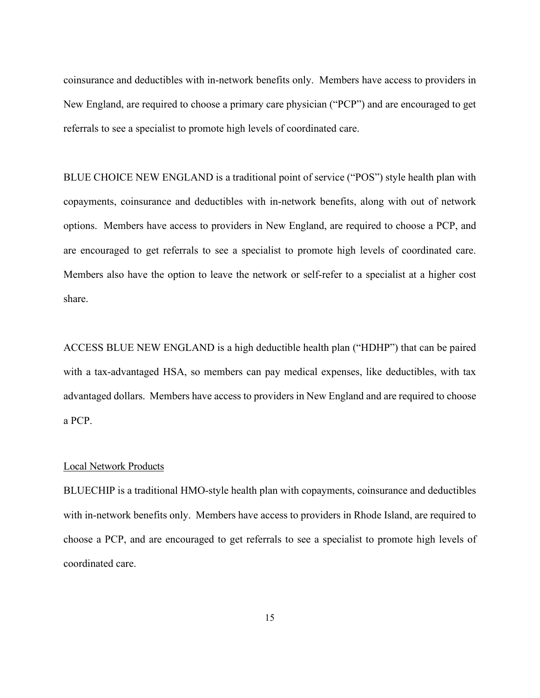coinsurance and deductibles with in-network benefits only. Members have access to providers in New England, are required to choose a primary care physician ("PCP") and are encouraged to get referrals to see a specialist to promote high levels of coordinated care.

BLUE CHOICE NEW ENGLAND is a traditional point of service ("POS") style health plan with copayments, coinsurance and deductibles with in-network benefits, along with out of network options. Members have access to providers in New England, are required to choose a PCP, and are encouraged to get referrals to see a specialist to promote high levels of coordinated care. Members also have the option to leave the network or self-refer to a specialist at a higher cost share.

ACCESS BLUE NEW ENGLAND is a high deductible health plan ("HDHP") that can be paired with a tax-advantaged HSA, so members can pay medical expenses, like deductibles, with tax advantaged dollars. Members have access to providers in New England and are required to choose a PCP.

### Local Network Products

BLUECHIP is a traditional HMO-style health plan with copayments, coinsurance and deductibles with in-network benefits only. Members have access to providers in Rhode Island, are required to choose a PCP, and are encouraged to get referrals to see a specialist to promote high levels of coordinated care.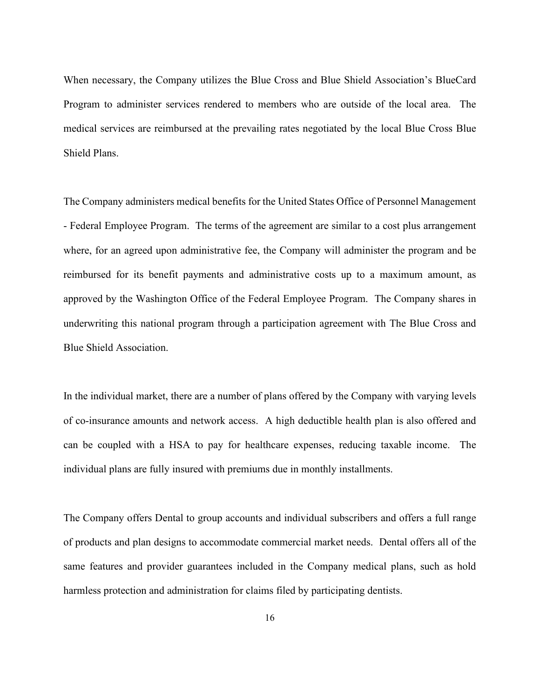When necessary, the Company utilizes the Blue Cross and Blue Shield Association's BlueCard Program to administer services rendered to members who are outside of the local area. The medical services are reimbursed at the prevailing rates negotiated by the local Blue Cross Blue Shield Plans.

The Company administers medical benefits for the United States Office of Personnel Management - Federal Employee Program. The terms of the agreement are similar to a cost plus arrangement where, for an agreed upon administrative fee, the Company will administer the program and be reimbursed for its benefit payments and administrative costs up to a maximum amount, as approved by the Washington Office of the Federal Employee Program. The Company shares in underwriting this national program through a participation agreement with The Blue Cross and Blue Shield Association.

In the individual market, there are a number of plans offered by the Company with varying levels of co-insurance amounts and network access. A high deductible health plan is also offered and can be coupled with a HSA to pay for healthcare expenses, reducing taxable income. The individual plans are fully insured with premiums due in monthly installments.

The Company offers Dental to group accounts and individual subscribers and offers a full range of products and plan designs to accommodate commercial market needs. Dental offers all of the same features and provider guarantees included in the Company medical plans, such as hold harmless protection and administration for claims filed by participating dentists.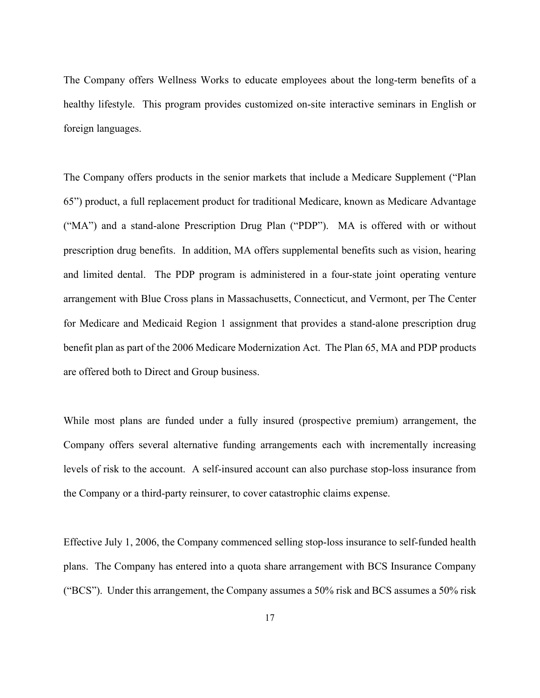The Company offers Wellness Works to educate employees about the long-term benefits of a healthy lifestyle. This program provides customized on-site interactive seminars in English or foreign languages.

The Company offers products in the senior markets that include a Medicare Supplement ("Plan 65") product, a full replacement product for traditional Medicare, known as Medicare Advantage ("MA") and a stand-alone Prescription Drug Plan ("PDP"). MA is offered with or without prescription drug benefits. In addition, MA offers supplemental benefits such as vision, hearing and limited dental. The PDP program is administered in a four-state joint operating venture arrangement with Blue Cross plans in Massachusetts, Connecticut, and Vermont, per The Center for Medicare and Medicaid Region 1 assignment that provides a stand-alone prescription drug benefit plan as part of the 2006 Medicare Modernization Act. The Plan 65, MA and PDP products are offered both to Direct and Group business.

While most plans are funded under a fully insured (prospective premium) arrangement, the Company offers several alternative funding arrangements each with incrementally increasing levels of risk to the account. A self-insured account can also purchase stop-loss insurance from the Company or a third-party reinsurer, to cover catastrophic claims expense.

Effective July 1, 2006, the Company commenced selling stop-loss insurance to self-funded health plans. The Company has entered into a quota share arrangement with BCS Insurance Company ("BCS"). Under this arrangement, the Company assumes a 50% risk and BCS assumes a 50% risk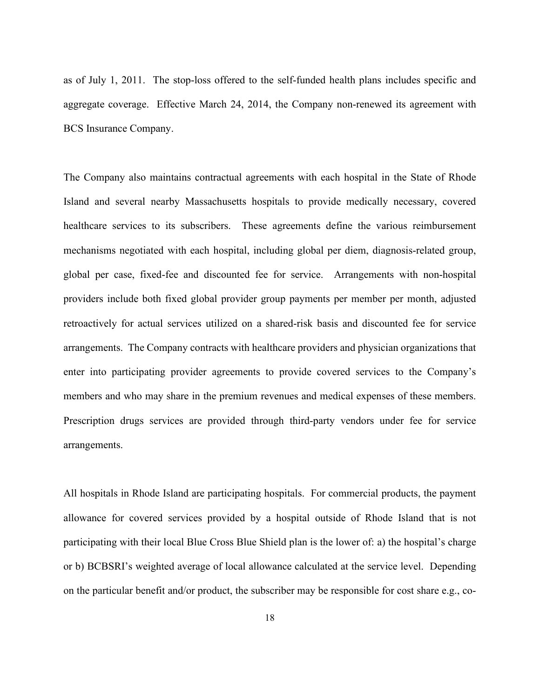as of July 1, 2011. The stop-loss offered to the self-funded health plans includes specific and aggregate coverage. Effective March 24, 2014, the Company non-renewed its agreement with BCS Insurance Company.

The Company also maintains contractual agreements with each hospital in the State of Rhode Island and several nearby Massachusetts hospitals to provide medically necessary, covered healthcare services to its subscribers. These agreements define the various reimbursement mechanisms negotiated with each hospital, including global per diem, diagnosis-related group, global per case, fixed-fee and discounted fee for service. Arrangements with non-hospital providers include both fixed global provider group payments per member per month, adjusted retroactively for actual services utilized on a shared-risk basis and discounted fee for service arrangements. The Company contracts with healthcare providers and physician organizations that enter into participating provider agreements to provide covered services to the Company's members and who may share in the premium revenues and medical expenses of these members. Prescription drugs services are provided through third-party vendors under fee for service arrangements.

All hospitals in Rhode Island are participating hospitals. For commercial products, the payment allowance for covered services provided by a hospital outside of Rhode Island that is not participating with their local Blue Cross Blue Shield plan is the lower of: a) the hospital's charge or b) BCBSRI's weighted average of local allowance calculated at the service level. Depending on the particular benefit and/or product, the subscriber may be responsible for cost share e.g., co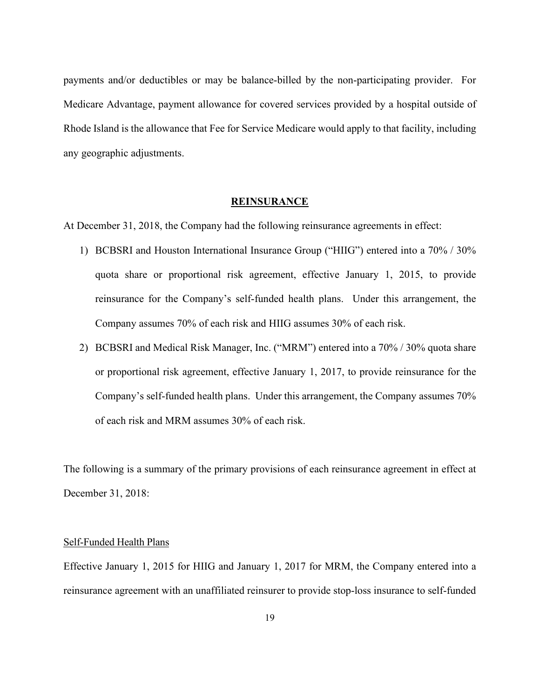payments and/or deductibles or may be balance-billed by the non-participating provider. For Medicare Advantage, payment allowance for covered services provided by a hospital outside of Rhode Island is the allowance that Fee for Service Medicare would apply to that facility, including any geographic adjustments.

# **REINSURANCE**

At December 31, 2018, the Company had the following reinsurance agreements in effect:

- 1) BCBSRI and Houston International Insurance Group ("HIIG") entered into a 70% / 30% quota share or proportional risk agreement, effective January 1, 2015, to provide reinsurance for the Company's self-funded health plans. Under this arrangement, the Company assumes 70% of each risk and HIIG assumes 30% of each risk.
- 2) BCBSRI and Medical Risk Manager, Inc. ("MRM") entered into a 70% / 30% quota share or proportional risk agreement, effective January 1, 2017, to provide reinsurance for the Company's self-funded health plans. Under this arrangement, the Company assumes 70% of each risk and MRM assumes 30% of each risk.

The following is a summary of the primary provisions of each reinsurance agreement in effect at December 31, 2018:

#### Self-Funded Health Plans

Effective January 1, 2015 for HIIG and January 1, 2017 for MRM, the Company entered into a reinsurance agreement with an unaffiliated reinsurer to provide stop-loss insurance to self-funded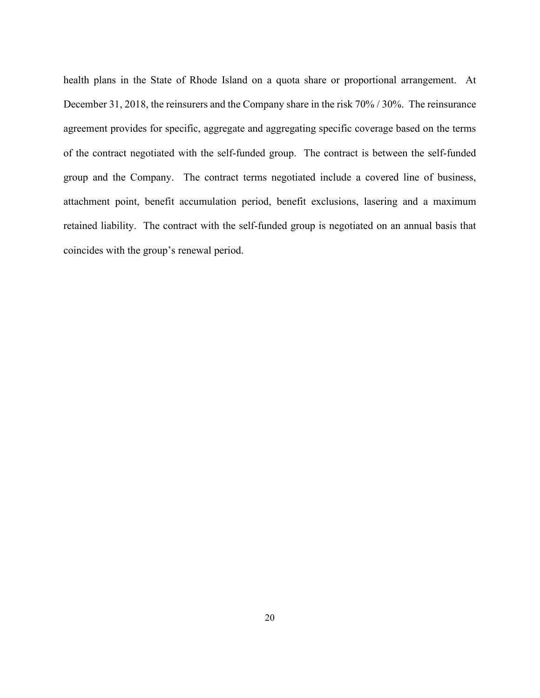health plans in the State of Rhode Island on a quota share or proportional arrangement. At December 31, 2018, the reinsurers and the Company share in the risk 70% / 30%. The reinsurance agreement provides for specific, aggregate and aggregating specific coverage based on the terms of the contract negotiated with the self-funded group. The contract is between the self-funded group and the Company. The contract terms negotiated include a covered line of business, attachment point, benefit accumulation period, benefit exclusions, lasering and a maximum retained liability. The contract with the self-funded group is negotiated on an annual basis that coincides with the group's renewal period.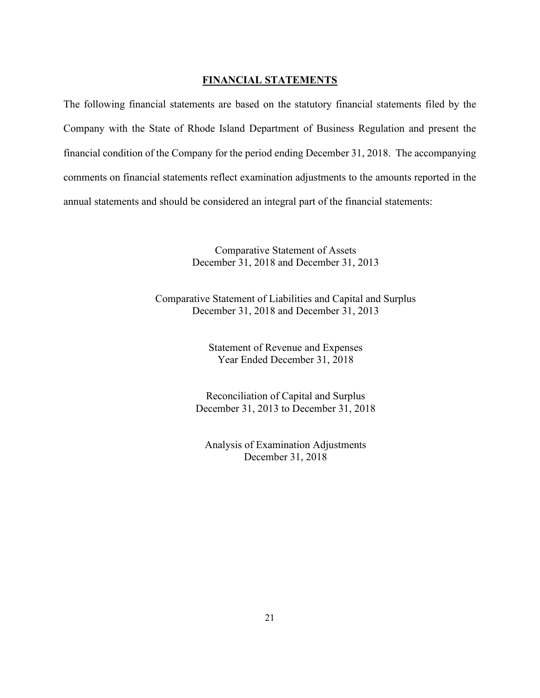# **FINANCIAL STATEMENTS**

The following financial statements are based on the statutory financial statements filed by the Company with the State of Rhode Island Department of Business Regulation and present the financial condition of the Company for the period ending December 31, 2018. The accompanying comments on financial statements reflect examination adjustments to the amounts reported in the annual statements and should be considered an integral part of the financial statements:

> Comparative Statement of Assets December 31, 2018 and December 31, 2013

Comparative Statement of Liabilities and Capital and Surplus December 31, 2018 and December 31, 2013

> Statement of Revenue and Expenses Year Ended December 31, 2018

Reconciliation of Capital and Surplus December 31, 2013 to December 31, 2018

Analysis of Examination Adjustments December 31, 2018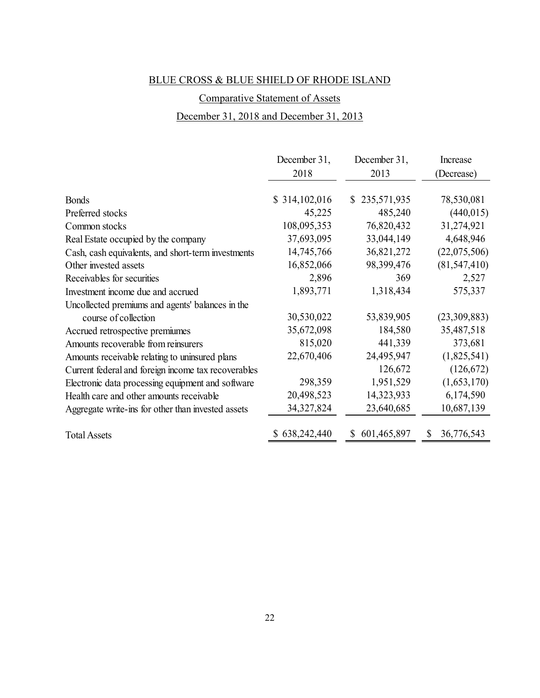# Comparative Statement of Assets

# December 31, 2018 and December 31, 2013

|                                                     | December 31,  | December 31,     | Increase       |
|-----------------------------------------------------|---------------|------------------|----------------|
|                                                     | 2018          | 2013             | (Decrease)     |
|                                                     |               |                  |                |
| <b>Bonds</b>                                        | \$314,102,016 | \$235,571,935    | 78,530,081     |
| Preferred stocks                                    | 45,225        | 485,240          | (440, 015)     |
| Common stocks                                       | 108,095,353   | 76,820,432       | 31,274,921     |
| Real Estate occupied by the company                 | 37,693,095    | 33,044,149       | 4,648,946      |
| Cash, cash equivalents, and short-term investments  | 14,745,766    | 36,821,272       | (22,075,506)   |
| Other invested assets                               | 16,852,066    | 98,399,476       | (81, 547, 410) |
| Receivables for securities                          | 2,896         | 369              | 2,527          |
| Investment income due and accrued                   | 1,893,771     | 1,318,434        | 575,337        |
| Uncollected premiums and agents' balances in the    |               |                  |                |
| course of collection                                | 30,530,022    | 53,839,905       | (23,309,883)   |
| Accrued retrospective premiumes                     | 35,672,098    | 184,580          | 35,487,518     |
| Amounts recoverable from reinsurers                 | 815,020       | 441,339          | 373,681        |
| Amounts receivable relating to uninsured plans      | 22,670,406    | 24,495,947       | (1,825,541)    |
| Current federal and foreign income tax recoverables |               | 126,672          | (126, 672)     |
| Electronic data processing equipment and software   | 298,359       | 1,951,529        | (1,653,170)    |
| Health care and other amounts receivable            | 20,498,523    | 14,323,933       | 6,174,590      |
| Aggregate write-ins for other than invested assets  | 34, 327, 824  | 23,640,685       | 10,687,139     |
| <b>Total Assets</b>                                 | 638,242,440   | 601,465,897<br>S | 36,776,543     |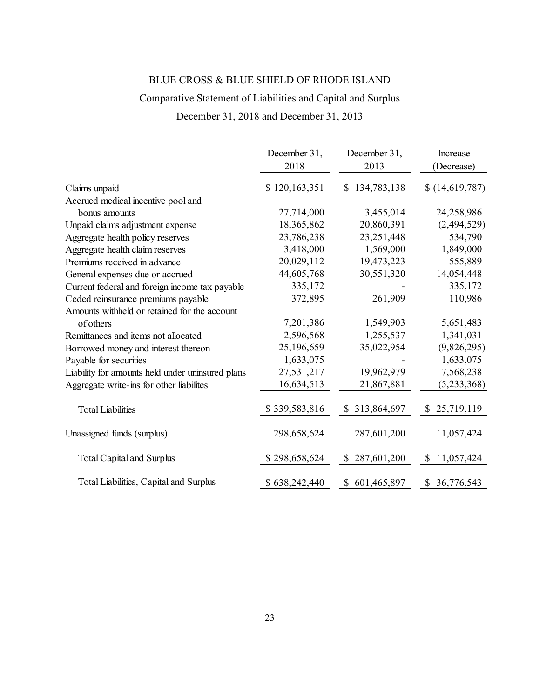# Comparative Statement of Liabilities and Capital and Surplus

# December 31, 2018 and December 31, 2013

|                                                  | December 31,<br>2018 | December 31,<br>2013        | Increase<br>(Decrease) |
|--------------------------------------------------|----------------------|-----------------------------|------------------------|
| Claims unpaid                                    | \$120,163,351        | \$134,783,138               | \$(14,619,787)         |
| Accrued medical incentive pool and               |                      |                             |                        |
| bonus amounts                                    | 27,714,000           | 3,455,014                   | 24,258,986             |
| Unpaid claims adjustment expense                 | 18,365,862           | 20,860,391                  | (2,494,529)            |
| Aggregate health policy reserves                 | 23,786,238           | 23,251,448                  | 534,790                |
| Aggregate health claim reserves                  | 3,418,000            | 1,569,000                   | 1,849,000              |
| Premiums received in advance                     | 20,029,112           | 19,473,223                  | 555,889                |
| General expenses due or accrued                  | 44,605,768           | 30,551,320                  | 14,054,448             |
| Current federal and foreign income tax payable   | 335,172              |                             | 335,172                |
| Ceded reinsurance premiums payable               | 372,895              | 261,909                     | 110,986                |
| Amounts withheld or retained for the account     |                      |                             |                        |
| of others                                        | 7,201,386            | 1,549,903                   | 5,651,483              |
| Remittances and items not allocated              | 2,596,568            | 1,255,537                   | 1,341,031              |
| Borrowed money and interest thereon              | 25,196,659           | 35,022,954                  | (9,826,295)            |
| Payable for securities                           | 1,633,075            |                             | 1,633,075              |
| Liability for amounts held under uninsured plans | 27,531,217           | 19,962,979                  | 7,568,238              |
| Aggregate write-ins for other liabilites         | 16,634,513           | 21,867,881                  | (5,233,368)            |
| <b>Total Liabilities</b>                         | \$339,583,816        | \$313,864,697               | \$25,719,119           |
| Unassigned funds (surplus)                       | 298,658,624          | 287,601,200                 | 11,057,424             |
| <b>Total Capital and Surplus</b>                 | \$298,658,624        | 287,601,200<br><sup>S</sup> | 11,057,424<br>\$       |
| Total Liabilities, Capital and Surplus           | \$638,242,440        | \$601,465,897               | \$ 36,776,543          |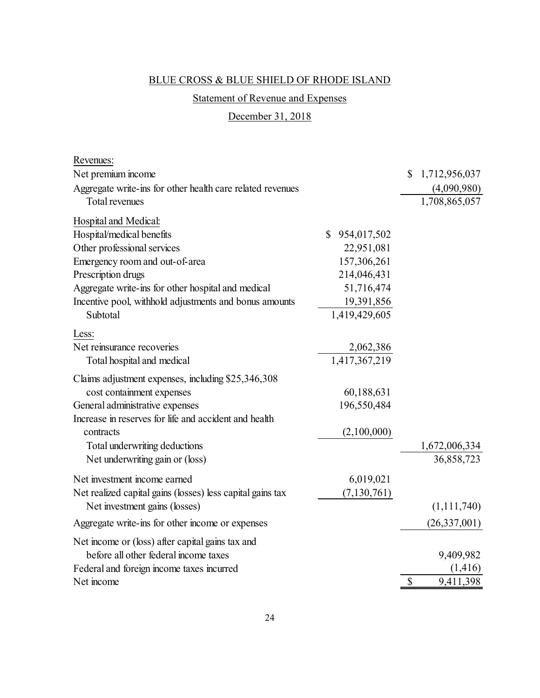# Statement of Revenue and Expenses

# December 31, 2018

| Revenues:                                                  |               |                     |
|------------------------------------------------------------|---------------|---------------------|
| Net premium income                                         |               | \$<br>1,712,956,037 |
| Aggregate write-ins for other health care related revenues |               | (4,090,980)         |
| Total revenues                                             |               | 1,708,865,057       |
| Hospital and Medical:                                      |               |                     |
| Hospital/medical benefits                                  | \$954,017,502 |                     |
| Other professional services                                | 22,951,081    |                     |
| Emergency room and out-of-area                             | 157,306,261   |                     |
| Prescription drugs                                         | 214,046,431   |                     |
| Aggregate write-ins for other hospital and medical         | 51,716,474    |                     |
| Incentive pool, withhold adjustments and bonus amounts     | 19,391,856    |                     |
| Subtotal                                                   | 1,419,429,605 |                     |
| Less:                                                      |               |                     |
| Net reinsurance recoveries                                 | 2,062,386     |                     |
| Total hospital and medical                                 | 1,417,367,219 |                     |
| Claims adjustment expenses, including \$25,346,308         |               |                     |
| cost containment expenses                                  | 60,188,631    |                     |
| General administrative expenses                            | 196,550,484   |                     |
| Increase in reserves for life and accident and health      |               |                     |
| contracts                                                  | (2,100,000)   |                     |
| Total underwriting deductions                              |               | 1,672,006,334       |
| Net underwriting gain or (loss)                            |               | 36,858,723          |
| Net investment income earned                               | 6,019,021     |                     |
| Net realized capital gains (losses) less capital gains tax | (7, 130, 761) |                     |
| Net investment gains (losses)                              |               | (1, 111, 740)       |
| Aggregate write-ins for other income or expenses           |               | (26, 337, 001)      |
| Net income or (loss) after capital gains tax and           |               |                     |
| before all other federal income taxes                      |               | 9,409,982           |
| Federal and foreign income taxes incurred                  |               | (1,416)             |
| Net income                                                 |               | \$<br>9,411,398     |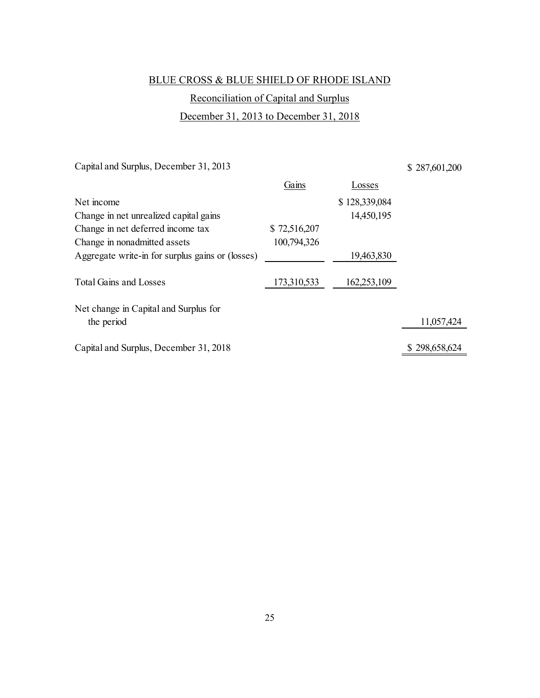# Reconciliation of Capital and Surplus

# December 31, 2013 to December 31, 2018

Capital and Surplus, December 31, 2013

\$ 287,601,200

|                                                  | Gains        | Losses        |               |
|--------------------------------------------------|--------------|---------------|---------------|
| Net income                                       |              | \$128,339,084 |               |
| Change in net unrealized capital gains           |              | 14,450,195    |               |
| Change in net deferred income tax                | \$72,516,207 |               |               |
| Change in nonadmitted assets                     | 100,794,326  |               |               |
| Aggregate write-in for surplus gains or (losses) |              | 19,463,830    |               |
| <b>Total Gains and Losses</b>                    | 173,310,533  | 162,253,109   |               |
| Net change in Capital and Surplus for            |              |               |               |
| the period                                       |              |               | 11,057,424    |
| Capital and Surplus, December 31, 2018           |              |               | \$298,658,624 |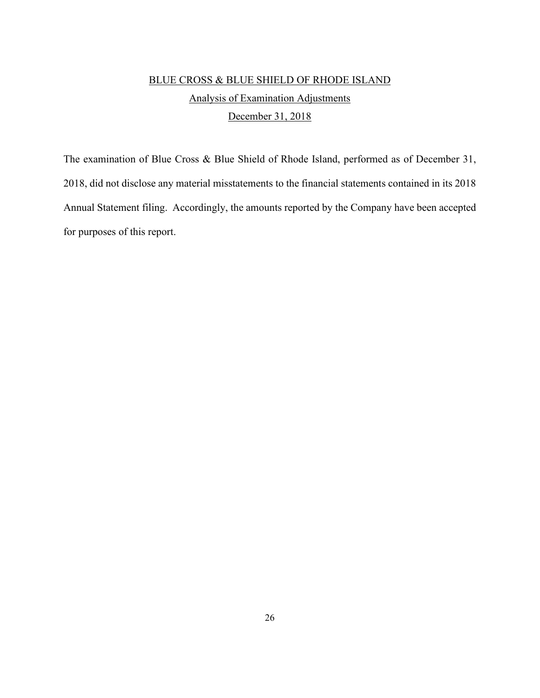# BLUE CROSS & BLUE SHIELD OF RHODE ISLAND Analysis of Examination Adjustments December 31, 2018

The examination of Blue Cross & Blue Shield of Rhode Island, performed as of December 31, 2018, did not disclose any material misstatements to the financial statements contained in its 2018 Annual Statement filing. Accordingly, the amounts reported by the Company have been accepted for purposes of this report.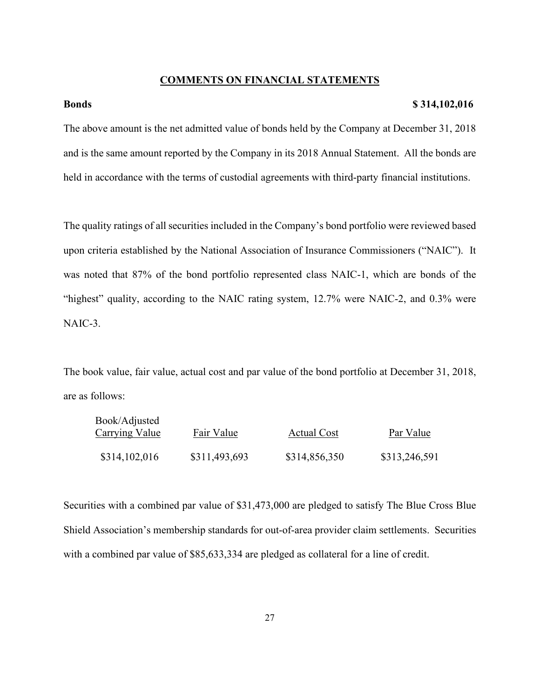# **COMMENTS ON FINANCIAL STATEMENTS**

# **Bonds \$ 314,102,016**

The above amount is the net admitted value of bonds held by the Company at December 31, 2018 and is the same amount reported by the Company in its 2018 Annual Statement. All the bonds are held in accordance with the terms of custodial agreements with third-party financial institutions.

The quality ratings of all securities included in the Company's bond portfolio were reviewed based upon criteria established by the National Association of Insurance Commissioners ("NAIC"). It was noted that 87% of the bond portfolio represented class NAIC-1, which are bonds of the "highest" quality, according to the NAIC rating system, 12.7% were NAIC-2, and 0.3% were NAIC-3.

The book value, fair value, actual cost and par value of the bond portfolio at December 31, 2018, are as follows:

| Book/Adjusted<br>Carrying Value | Fair Value    | <b>Actual Cost</b> | Par Value     |
|---------------------------------|---------------|--------------------|---------------|
| \$314,102,016                   | \$311,493,693 | \$314,856,350      | \$313,246,591 |

Securities with a combined par value of \$31,473,000 are pledged to satisfy The Blue Cross Blue Shield Association's membership standards for out-of-area provider claim settlements. Securities with a combined par value of \$85,633,334 are pledged as collateral for a line of credit.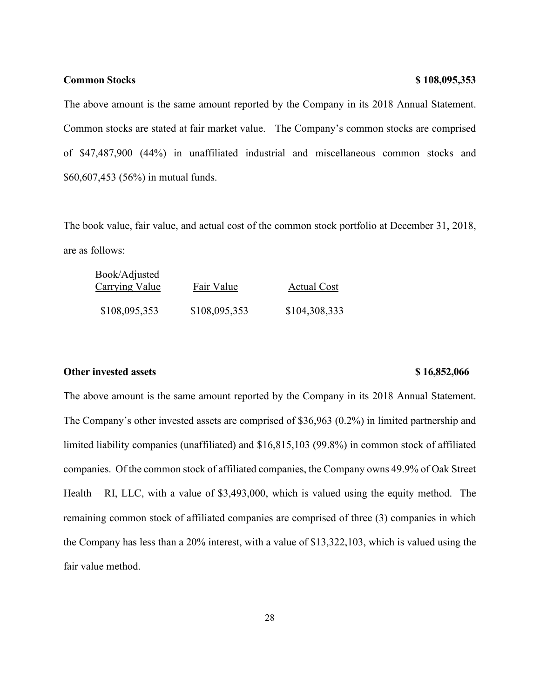### **Common Stocks \$ 108,095,353**

The above amount is the same amount reported by the Company in its 2018 Annual Statement. Common stocks are stated at fair market value. The Company's common stocks are comprised of \$47,487,900 (44%) in unaffiliated industrial and miscellaneous common stocks and \$60,607,453 (56%) in mutual funds.

The book value, fair value, and actual cost of the common stock portfolio at December 31, 2018, are as follows:

| Book/Adjusted<br>Carrying Value | Fair Value    | <b>Actual Cost</b> |
|---------------------------------|---------------|--------------------|
| \$108,095,353                   | \$108,095,353 | \$104,308,333      |

### **Other invested assets** \$ 16,852,066

The above amount is the same amount reported by the Company in its 2018 Annual Statement. The Company's other invested assets are comprised of \$36,963 (0.2%) in limited partnership and limited liability companies (unaffiliated) and \$16,815,103 (99.8%) in common stock of affiliated companies. Of the common stock of affiliated companies, the Company owns 49.9% of Oak Street Health – RI, LLC, with a value of \$3,493,000, which is valued using the equity method. The remaining common stock of affiliated companies are comprised of three (3) companies in which the Company has less than a 20% interest, with a value of \$13,322,103, which is valued using the fair value method.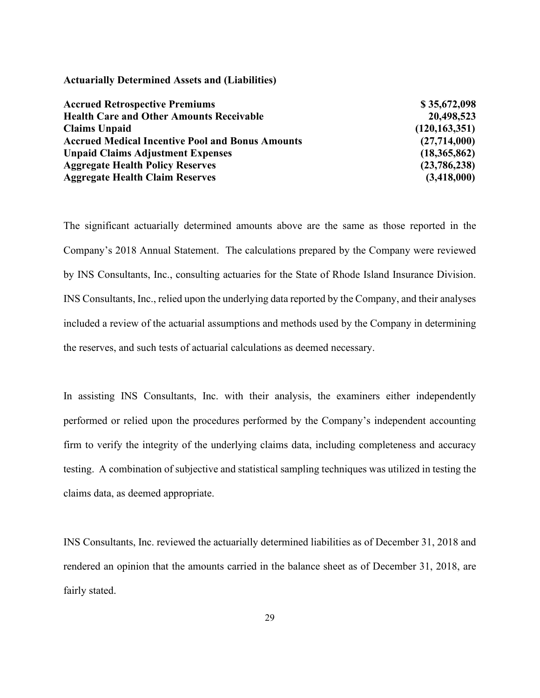### **Actuarially Determined Assets and (Liabilities)**

| <b>Accrued Retrospective Premiums</b>                   | \$35,672,098    |
|---------------------------------------------------------|-----------------|
| <b>Health Care and Other Amounts Receivable</b>         | 20,498,523      |
| <b>Claims Unpaid</b>                                    | (120, 163, 351) |
| <b>Accrued Medical Incentive Pool and Bonus Amounts</b> | (27,714,000)    |
| <b>Unpaid Claims Adjustment Expenses</b>                | (18,365,862)    |
| <b>Aggregate Health Policy Reserves</b>                 | (23,786,238)    |
| <b>Aggregate Health Claim Reserves</b>                  | (3,418,000)     |

The significant actuarially determined amounts above are the same as those reported in the Company's 2018 Annual Statement. The calculations prepared by the Company were reviewed by INS Consultants, Inc., consulting actuaries for the State of Rhode Island Insurance Division. INS Consultants, Inc., relied upon the underlying data reported by the Company, and their analyses included a review of the actuarial assumptions and methods used by the Company in determining the reserves, and such tests of actuarial calculations as deemed necessary.

In assisting INS Consultants, Inc. with their analysis, the examiners either independently performed or relied upon the procedures performed by the Company's independent accounting firm to verify the integrity of the underlying claims data, including completeness and accuracy testing. A combination of subjective and statistical sampling techniques was utilized in testing the claims data, as deemed appropriate.

INS Consultants, Inc. reviewed the actuarially determined liabilities as of December 31, 2018 and rendered an opinion that the amounts carried in the balance sheet as of December 31, 2018, are fairly stated.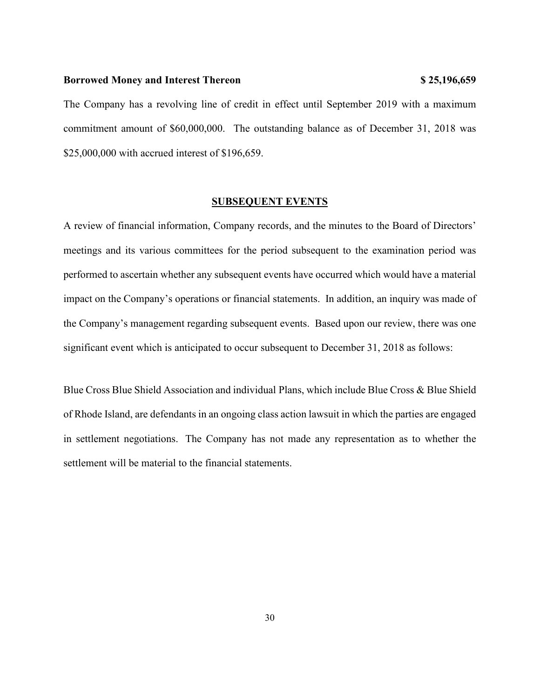#### **Borrowed Money and Interest Thereon \$ 25,196,659**

The Company has a revolving line of credit in effect until September 2019 with a maximum commitment amount of \$60,000,000. The outstanding balance as of December 31, 2018 was \$25,000,000 with accrued interest of \$196,659.

### **SUBSEQUENT EVENTS**

A review of financial information, Company records, and the minutes to the Board of Directors' meetings and its various committees for the period subsequent to the examination period was performed to ascertain whether any subsequent events have occurred which would have a material impact on the Company's operations or financial statements. In addition, an inquiry was made of the Company's management regarding subsequent events. Based upon our review, there was one significant event which is anticipated to occur subsequent to December 31, 2018 as follows:

Blue Cross Blue Shield Association and individual Plans, which include Blue Cross & Blue Shield of Rhode Island, are defendants in an ongoing class action lawsuit in which the parties are engaged in settlement negotiations. The Company has not made any representation as to whether the settlement will be material to the financial statements.